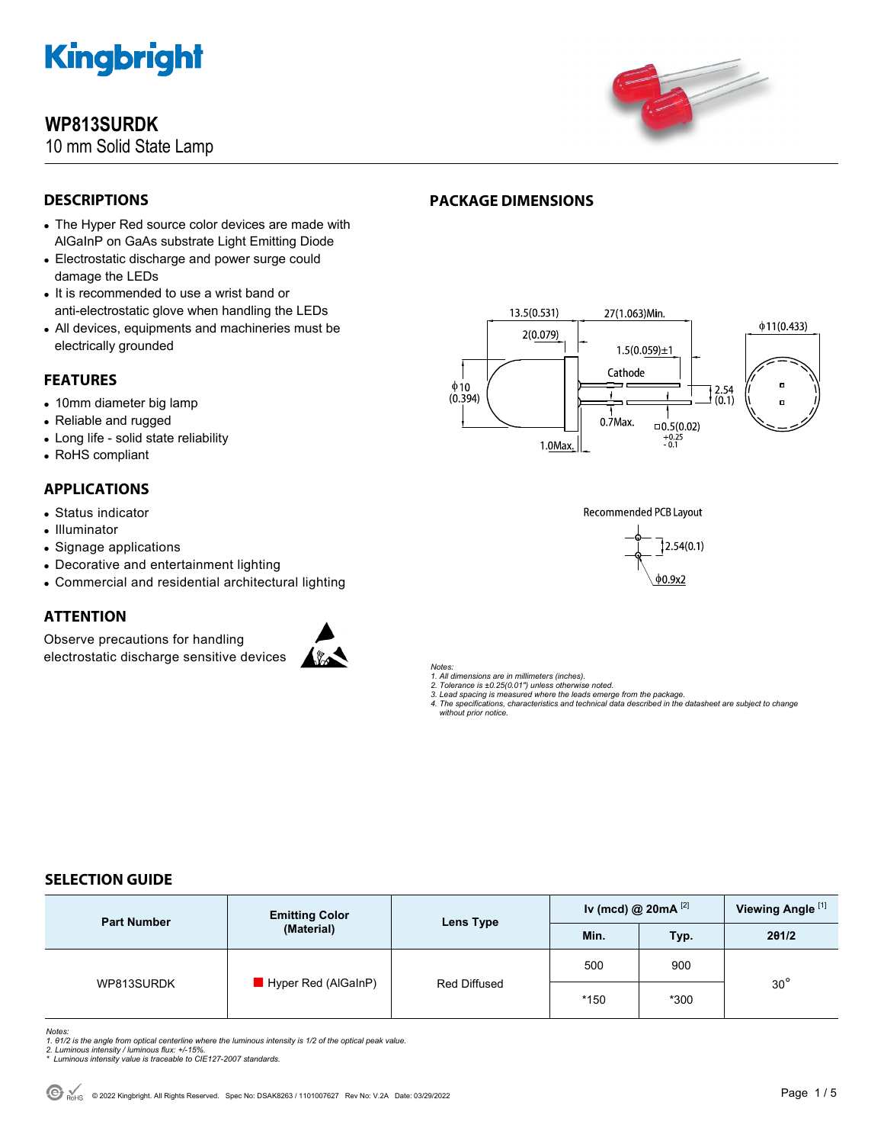

## **WP813SURDK**

**DESCRIPTIONS** 

10 mm Solid State Lamp



## **PACKAGE DIMENSIONS**

- The Hyper Red source color devices are made with AlGaInP on GaAs substrate Light Emitting Diode
- Electrostatic discharge and power surge could damage the LEDs
- It is recommended to use a wrist band or anti-electrostatic glove when handling the LEDs
- All devices, equipments and machineries must be electrically grounded

## **FEATURES**

- 10mm diameter big lamp
- Reliable and rugged
- Long life solid state reliability
- RoHS compliant

## **APPLICATIONS**

- Status indicator
- Illuminator
- Signage applications
- Decorative and entertainment lighting
- Commercial and residential architectural lighting

## **ATTENTION**

Observe precautions for handling electrostatic discharge sensitive devices







 $\phi$ 0.9x2

*Notes:* 

- *1. All dimensions are in millimeters (inches).*
- 
- 2. Tolerance is ±0.25(0.01") unless otherwise noted.<br>3. Lead spacing is measured where the leads emerge from the package.<br>4. The specifications, characteristics and technical data described in the datasheet are subject to

## **SELECTION GUIDE**

| <b>Part Number</b> | <b>Emitting Color</b><br>(Material) | Lens Type    | Iv (mcd) @ $20mA$ <sup>[2]</sup> |        | Viewing Angle <sup>[1]</sup> |  |
|--------------------|-------------------------------------|--------------|----------------------------------|--------|------------------------------|--|
|                    |                                     |              | Min.                             | Typ.   | 201/2                        |  |
| WP813SURDK         | Hyper Red (AlGaInP)                 | Red Diffused | 500                              | 900    |                              |  |
|                    |                                     |              | $*150$                           | $*300$ | $30^\circ$                   |  |

*Notes:* 

- 1. 01/2 is the angle from optical centerline where the luminous intensity is 1/2 of the optical peak value.<br>2. Luminous intensity / luminous flux: +/-15%.<br>\* Luminous intensity value is traceable to CIE127-2007 standards.
- 
-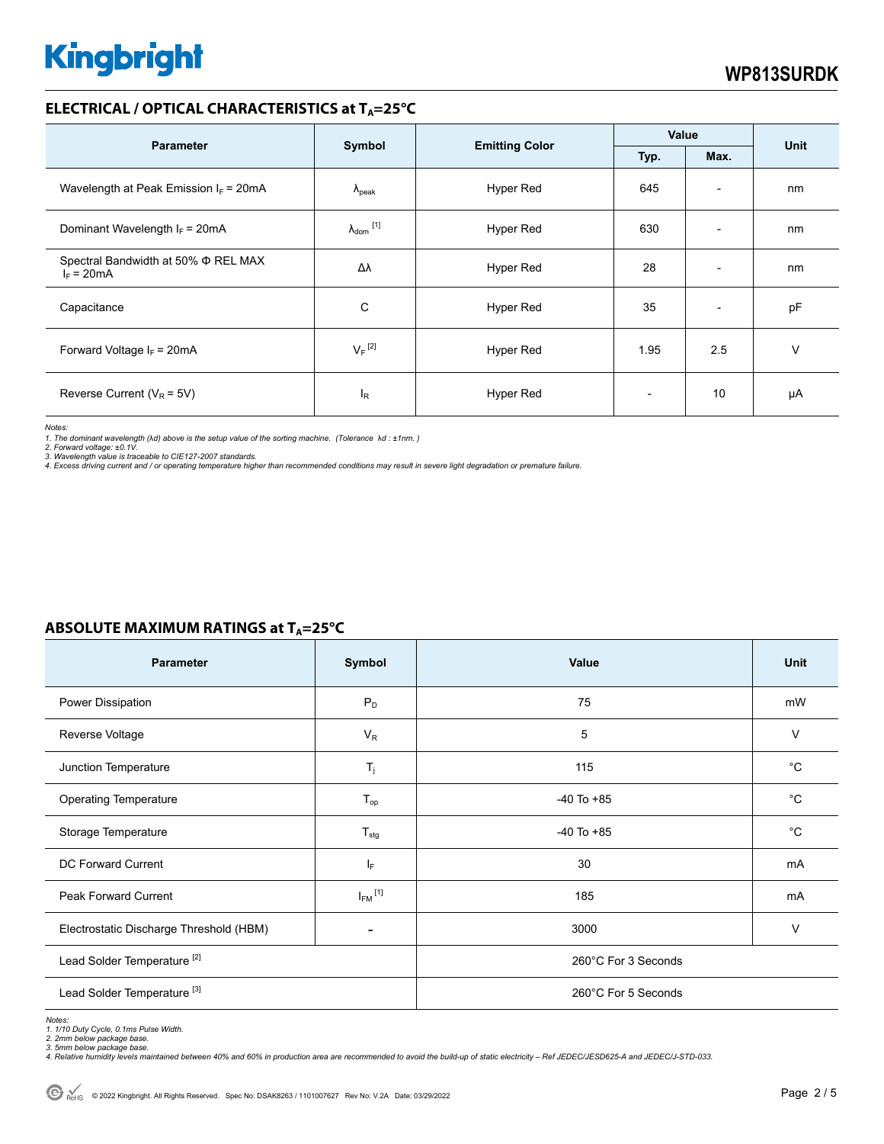## **ELECTRICAL / OPTICAL CHARACTERISTICS at T<sub>A</sub>=25°C**

| <b>Parameter</b>                                         | Symbol                     |                       | Value                    |                          |             |
|----------------------------------------------------------|----------------------------|-----------------------|--------------------------|--------------------------|-------------|
|                                                          |                            | <b>Emitting Color</b> | Typ.                     | Max.                     | <b>Unit</b> |
| Wavelength at Peak Emission $I_F$ = 20mA                 | $\Lambda_{\rm peak}$       | Hyper Red             | 645                      | $\overline{\phantom{a}}$ | nm          |
| Dominant Wavelength $I_F = 20 \text{mA}$                 | $\lambda_{\text{dom}}$ [1] | Hyper Red             | 630                      | $\overline{\phantom{a}}$ | nm          |
| Spectral Bandwidth at 50% $\Phi$ REL MAX<br>$I_F = 20mA$ | Δλ                         | Hyper Red             | 28                       | $\overline{\phantom{a}}$ | nm          |
| Capacitance                                              | C                          | Hyper Red             | 35                       | $\overline{\phantom{a}}$ | pF          |
| Forward Voltage $I_F$ = 20mA                             | $V_F$ <sup>[2]</sup>       | Hyper Red             | 1.95                     | 2.5                      | ٧           |
| Reverse Current ( $V_R$ = 5V)                            | l <sub>R</sub>             | Hyper Red             | $\overline{\phantom{0}}$ | 10                       | μA          |

*Notes:* 

*1. The dominant wavelength (*λ*d) above is the setup value of the sorting machine. (Tolerance* λ*d : ±1nm. )* 

2. Forward voltage: ±0.1V.<br>3. Wavelength value is traceable to CIE127-2007 standards.<br>4. Excess driving current and / or operating temperature higher than recommended conditions may result in severe light degradation or pr

## **ABSOLUTE MAXIMUM RATINGS at T<sub>A</sub>=25°C**

| <b>Parameter</b>                        | Symbol                   | Value               | <b>Unit</b> |  |
|-----------------------------------------|--------------------------|---------------------|-------------|--|
| Power Dissipation                       | $P_D$                    | 75                  | mW          |  |
| Reverse Voltage                         | $V_R$                    | 5                   | $\vee$      |  |
| Junction Temperature                    | $T_j$                    | 115                 | $^{\circ}C$ |  |
| <b>Operating Temperature</b>            | $T_{op}$                 | $-40$ To $+85$      | $^{\circ}C$ |  |
| Storage Temperature                     | $T_{\text{stg}}$         | $-40$ To $+85$      | $^{\circ}C$ |  |
| DC Forward Current                      | IF.                      | 30                  | mA          |  |
| Peak Forward Current                    | $I_{FM}$ <sup>[1]</sup>  | 185                 | mA          |  |
| Electrostatic Discharge Threshold (HBM) | $\overline{\phantom{0}}$ | 3000                | $\vee$      |  |
| Lead Solder Temperature <sup>[2]</sup>  |                          | 260°C For 3 Seconds |             |  |
| Lead Solder Temperature <sup>[3]</sup>  |                          | 260°C For 5 Seconds |             |  |

*Notes:* 

1. 1/10 Duty Cycle, 0.1ms Pulse Width.<br>2. 2mm below package base.<br>3. 5mm below package base.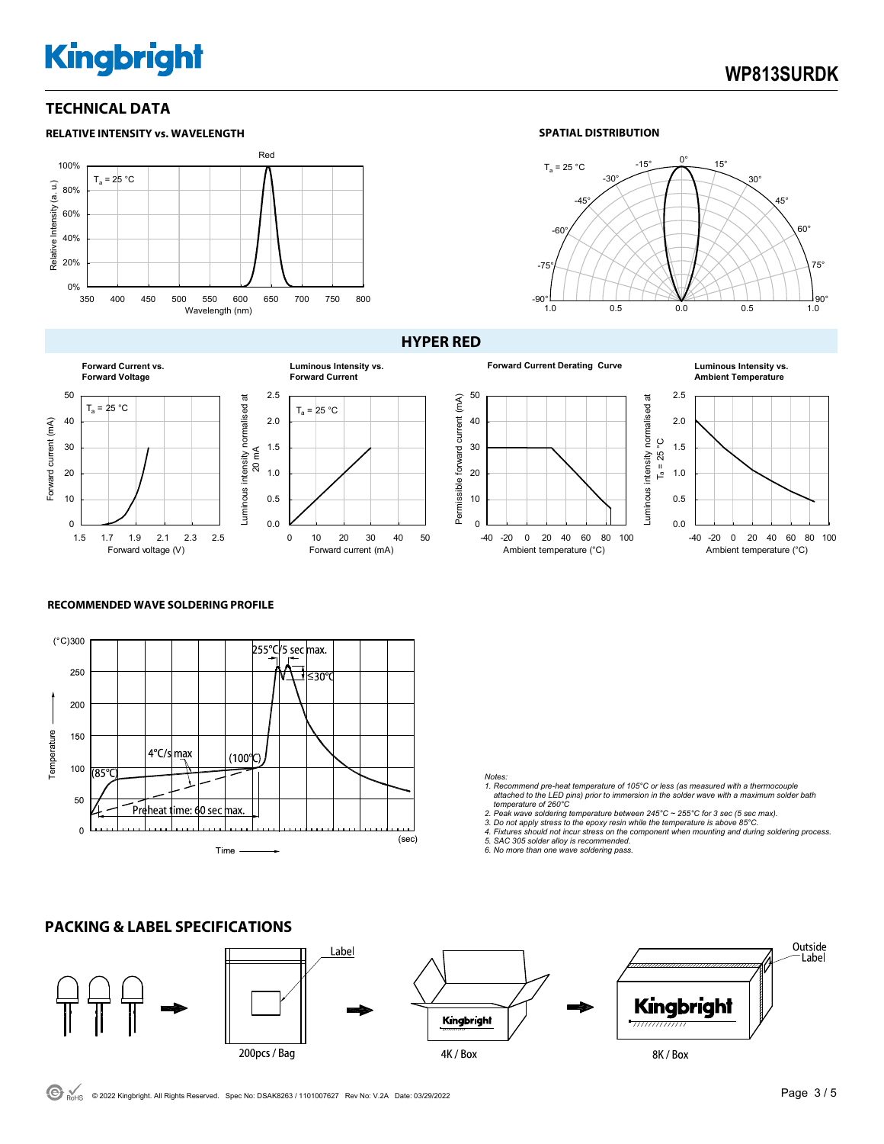## **WP813SURDK**

## **TECHNICAL DATA**



### **SPATIAL DISTRIBUTION**





#### **HYPER RED**







#### **RECOMMENDED WAVE SOLDERING PROFILE**



0.0 0.5 1.0 1.5 2.0 2.5

 $T_a = 25 °C$ 

**Luminous Intensity vs. Forward Current**

0 10 20 30 40 50

Forward current (mA)

#### *Notes:*

*1. Recommend pre-heat temperature of 105°C or less (as measured with a thermocouple attached to the LED pins) prior to immersion in the solder wave with a maximum solder bath temperature of 260°C* 

2. Peak wave soldering temperature between 245°C ~ 255°C for 3 sec (5 sec max).<br>3. Do not apply stress to the epoxy resin while the temperature is above 85°C.<br>4. Fixtures should not incur stress on the component when mount

*5. SAC 305 solder alloy is recommended. 6. No more than one wave soldering pass.*

#### **PACKING & LABEL SPECIFICATIONS**  Outside Label Label Kingbright Kingbright 200pcs / Bag 4K / Box 8K / Box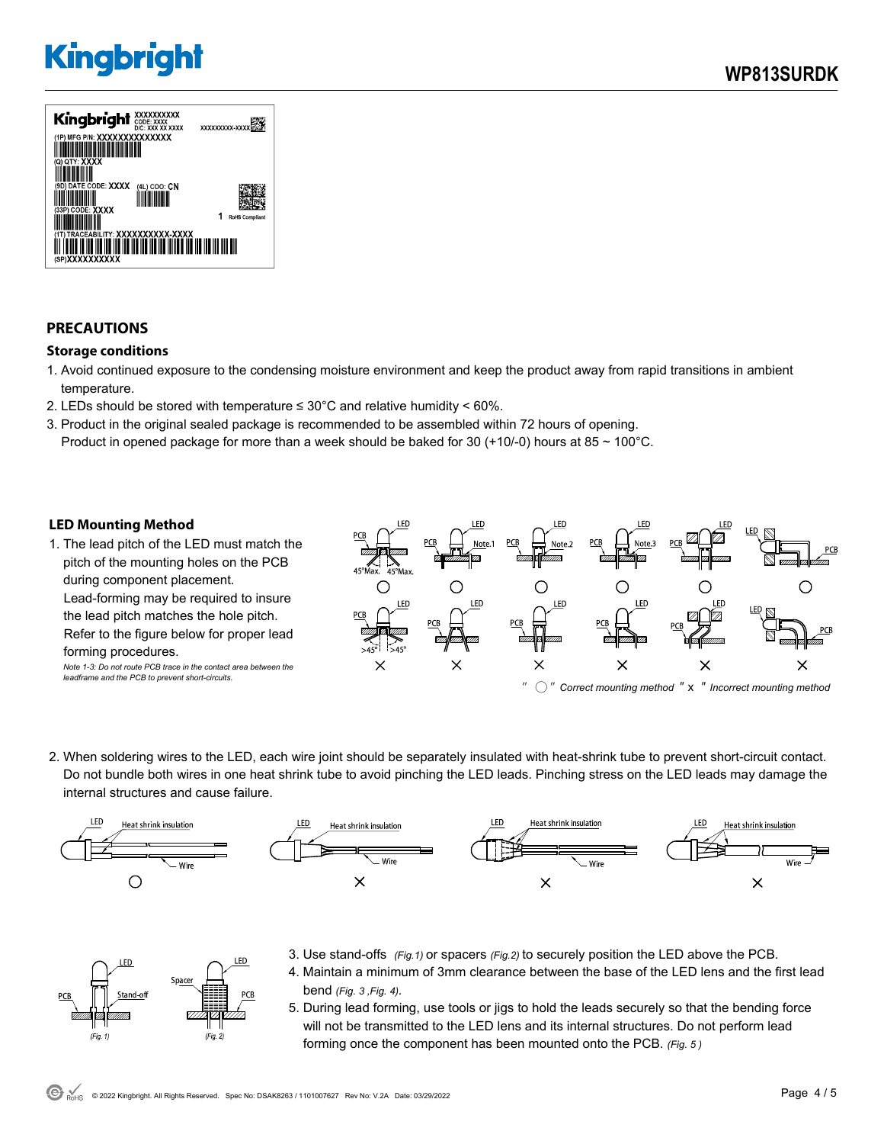

## **PRECAUTIONS**

### **Storage conditions**

- 1. Avoid continued exposure to the condensing moisture environment and keep the product away from rapid transitions in ambient temperature.
- 2. LEDs should be stored with temperature  $\leq 30^{\circ}$ C and relative humidity < 60%.
- 3. Product in the original sealed package is recommended to be assembled within 72 hours of opening. Product in opened package for more than a week should be baked for 30 (+10/-0) hours at 85  $\sim$  100°C.

### **LED Mounting Method**

FD.

 $(Fig. 1)$ 

Space

 $(Fig. 2)$ 

1. The lead pitch of the LED must match the pitch of the mounting holes on the PCB during component placement. Lead-forming may be required to insure the lead pitch matches the hole pitch. Refer to the figure below for proper lead forming procedures. *Note 1-3: Do not route PCB trace in the contact area between the* 

*leadframe and the PCB to prevent short-circuits.* 



2. When soldering wires to the LED, each wire joint should be separately insulated with heat-shrink tube to prevent short-circuit contact. Do not bundle both wires in one heat shrink tube to avoid pinching the LED leads. Pinching stress on the LED leads may damage the internal structures and cause failure.



- 3. Use stand-offs *(Fig.1)* or spacers *(Fig.2)* to securely position the LED above the PCB. .ED
	- 4. Maintain a minimum of 3mm clearance between the base of the LED lens and the first lead bend *(Fig. 3 ,Fig. 4).*
	- 5. During lead forming, use tools or jigs to hold the leads securely so that the bending force will not be transmitted to the LED lens and its internal structures. Do not perform lead forming once the component has been mounted onto the PCB. *(Fig. 5 )*